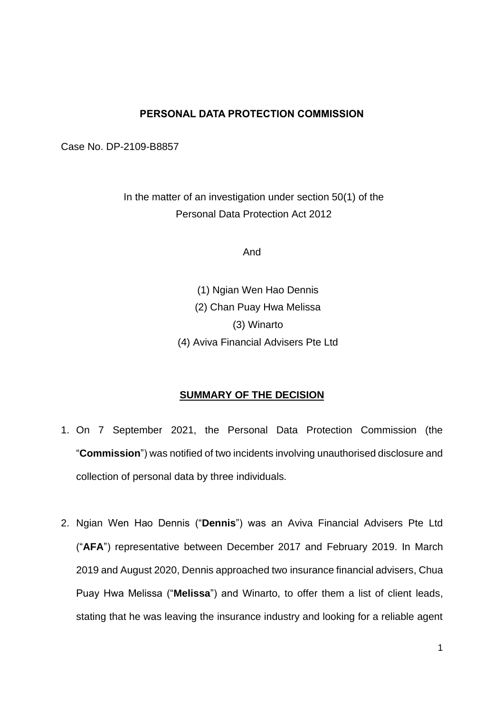### **PERSONAL DATA PROTECTION COMMISSION**

Case No. DP-2109-B8857

In the matter of an investigation under section 50(1) of the Personal Data Protection Act 2012

And

(1) Ngian Wen Hao Dennis (2) Chan Puay Hwa Melissa (3) Winarto (4) Aviva Financial Advisers Pte Ltd

### **SUMMARY OF THE DECISION**

- 1. On 7 September 2021, the Personal Data Protection Commission (the "**Commission**") was notified of two incidents involving unauthorised disclosure and collection of personal data by three individuals.
- 2. Ngian Wen Hao Dennis ("**Dennis**") was an Aviva Financial Advisers Pte Ltd ("**AFA**") representative between December 2017 and February 2019. In March 2019 and August 2020, Dennis approached two insurance financial advisers, Chua Puay Hwa Melissa ("**Melissa**") and Winarto, to offer them a list of client leads, stating that he was leaving the insurance industry and looking for a reliable agent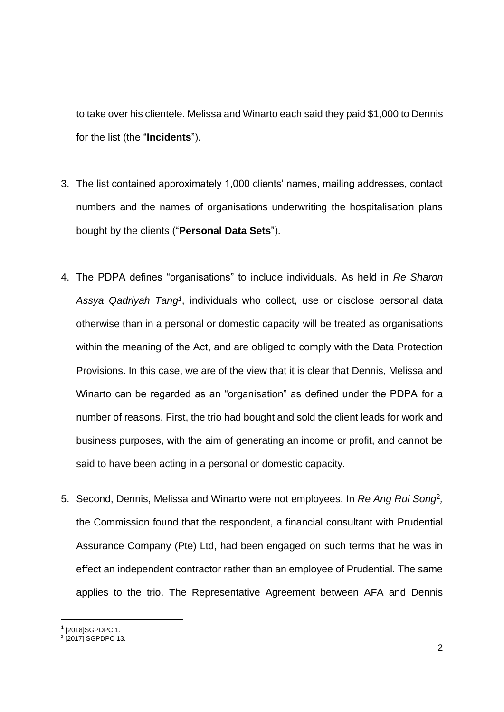to take over his clientele. Melissa and Winarto each said they paid \$1,000 to Dennis for the list (the "**Incidents**").

- 3. The list contained approximately 1,000 clients' names, mailing addresses, contact numbers and the names of organisations underwriting the hospitalisation plans bought by the clients ("**Personal Data Sets**").
- 4. The PDPA defines "organisations" to include individuals. As held in *Re Sharon Assya Qadriyah Tang<sup>1</sup>* , individuals who collect, use or disclose personal data otherwise than in a personal or domestic capacity will be treated as organisations within the meaning of the Act, and are obliged to comply with the Data Protection Provisions. In this case, we are of the view that it is clear that Dennis, Melissa and Winarto can be regarded as an "organisation" as defined under the PDPA for a number of reasons. First, the trio had bought and sold the client leads for work and business purposes, with the aim of generating an income or profit, and cannot be said to have been acting in a personal or domestic capacity.
- 5. Second, Dennis, Melissa and Winarto were not employees. In *Re Ang Rui Song*<sup>2</sup> *,* the Commission found that the respondent, a financial consultant with Prudential Assurance Company (Pte) Ltd, had been engaged on such terms that he was in effect an independent contractor rather than an employee of Prudential. The same applies to the trio. The Representative Agreement between AFA and Dennis

<sup>&</sup>lt;sup>1</sup> [2018]SGPDPC 1.

<sup>2</sup> [2017] SGPDPC 13.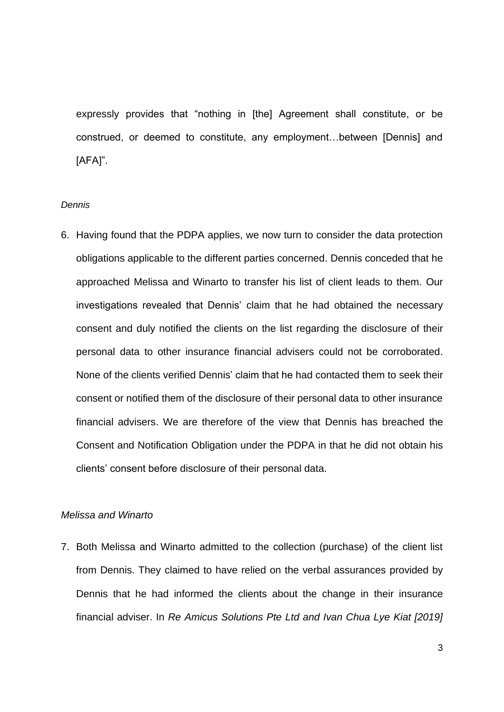expressly provides that "nothing in [the] Agreement shall constitute, or be construed, or deemed to constitute, any employment…between [Dennis] and [AFA]".

#### *Dennis*

6. Having found that the PDPA applies, we now turn to consider the data protection obligations applicable to the different parties concerned. Dennis conceded that he approached Melissa and Winarto to transfer his list of client leads to them. Our investigations revealed that Dennis' claim that he had obtained the necessary consent and duly notified the clients on the list regarding the disclosure of their personal data to other insurance financial advisers could not be corroborated. None of the clients verified Dennis' claim that he had contacted them to seek their consent or notified them of the disclosure of their personal data to other insurance financial advisers. We are therefore of the view that Dennis has breached the Consent and Notification Obligation under the PDPA in that he did not obtain his clients' consent before disclosure of their personal data.

#### *Melissa and Winarto*

7. Both Melissa and Winarto admitted to the collection (purchase) of the client list from Dennis. They claimed to have relied on the verbal assurances provided by Dennis that he had informed the clients about the change in their insurance financial adviser. In *Re Amicus Solutions Pte Ltd and Ivan Chua Lye Kiat [2019]*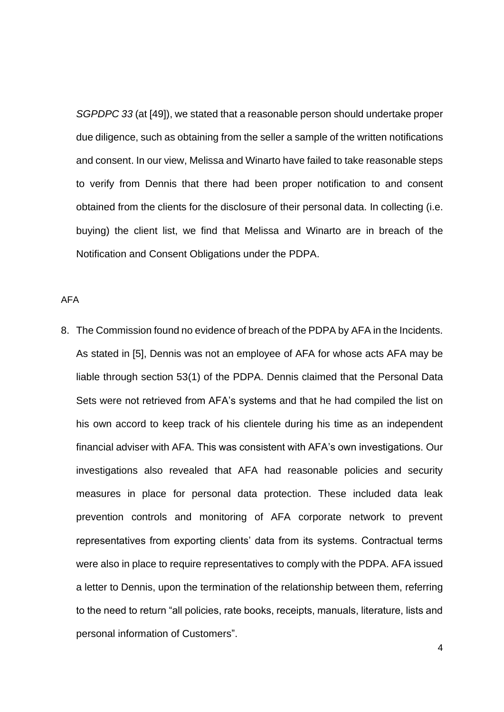*SGPDPC 33* (at [49]), we stated that a reasonable person should undertake proper due diligence, such as obtaining from the seller a sample of the written notifications and consent. In our view, Melissa and Winarto have failed to take reasonable steps to verify from Dennis that there had been proper notification to and consent obtained from the clients for the disclosure of their personal data. In collecting (i.e. buying) the client list, we find that Melissa and Winarto are in breach of the Notification and Consent Obligations under the PDPA.

AFA

8. The Commission found no evidence of breach of the PDPA by AFA in the Incidents. As stated in [5], Dennis was not an employee of AFA for whose acts AFA may be liable through section 53(1) of the PDPA. Dennis claimed that the Personal Data Sets were not retrieved from AFA's systems and that he had compiled the list on his own accord to keep track of his clientele during his time as an independent financial adviser with AFA. This was consistent with AFA's own investigations. Our investigations also revealed that AFA had reasonable policies and security measures in place for personal data protection. These included data leak prevention controls and monitoring of AFA corporate network to prevent representatives from exporting clients' data from its systems. Contractual terms were also in place to require representatives to comply with the PDPA. AFA issued a letter to Dennis, upon the termination of the relationship between them, referring to the need to return "all policies, rate books, receipts, manuals, literature, lists and personal information of Customers".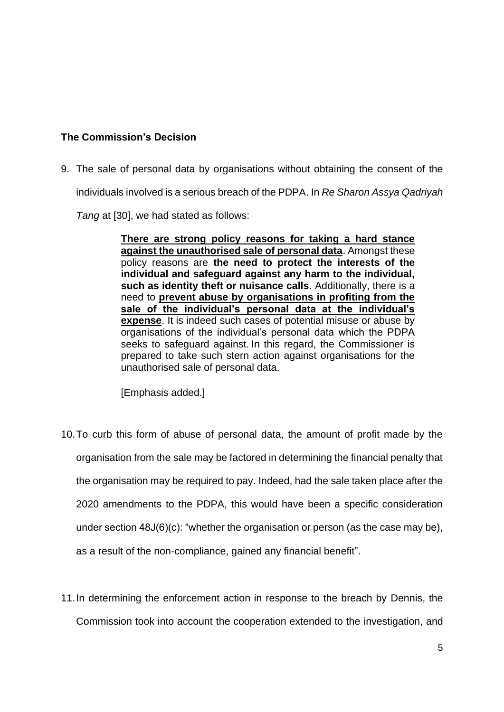# **The Commission's Decision**

9. The sale of personal data by organisations without obtaining the consent of the

individuals involved is a serious breach of the PDPA. In *Re Sharon Assya Qadriyah* 

*Tang* at [30], we had stated as follows:

**There are strong policy reasons for taking a hard stance against the unauthorised sale of personal data**. Amongst these policy reasons are **the need to protect the interests of the individual and safeguard against any harm to the individual, such as identity theft or nuisance calls**. Additionally, there is a need to **prevent abuse by organisations in profiting from the sale of the individual's personal data at the individual's expense**. It is indeed such cases of potential misuse or abuse by organisations of the individual's personal data which the PDPA seeks to safeguard against. In this regard, the Commissioner is prepared to take such stern action against organisations for the unauthorised sale of personal data.

[Emphasis added.]

- 10.To curb this form of abuse of personal data, the amount of profit made by the organisation from the sale may be factored in determining the financial penalty that the organisation may be required to pay. Indeed, had the sale taken place after the 2020 amendments to the PDPA, this would have been a specific consideration under section 48J(6)(c): "whether the organisation or person (as the case may be), as a result of the non-compliance, gained any financial benefit".
- 11.In determining the enforcement action in response to the breach by Dennis, the Commission took into account the cooperation extended to the investigation, and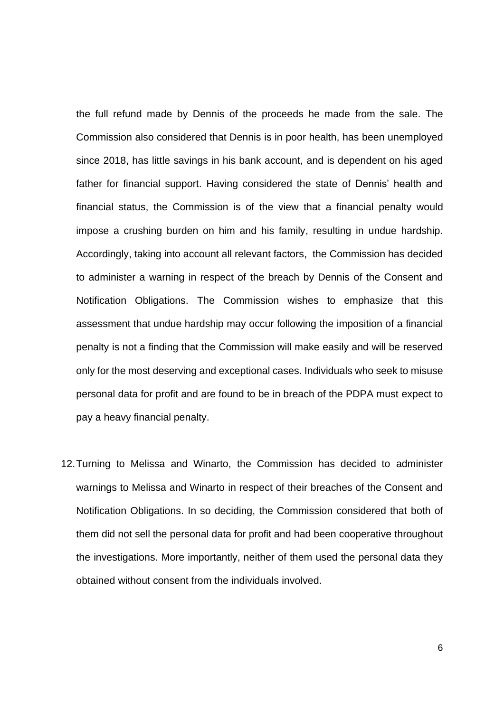the full refund made by Dennis of the proceeds he made from the sale. The Commission also considered that Dennis is in poor health, has been unemployed since 2018, has little savings in his bank account, and is dependent on his aged father for financial support. Having considered the state of Dennis' health and financial status, the Commission is of the view that a financial penalty would impose a crushing burden on him and his family, resulting in undue hardship. Accordingly, taking into account all relevant factors, the Commission has decided to administer a warning in respect of the breach by Dennis of the Consent and Notification Obligations. The Commission wishes to emphasize that this assessment that undue hardship may occur following the imposition of a financial penalty is not a finding that the Commission will make easily and will be reserved only for the most deserving and exceptional cases. Individuals who seek to misuse personal data for profit and are found to be in breach of the PDPA must expect to pay a heavy financial penalty.

12.Turning to Melissa and Winarto, the Commission has decided to administer warnings to Melissa and Winarto in respect of their breaches of the Consent and Notification Obligations. In so deciding, the Commission considered that both of them did not sell the personal data for profit and had been cooperative throughout the investigations. More importantly, neither of them used the personal data they obtained without consent from the individuals involved.